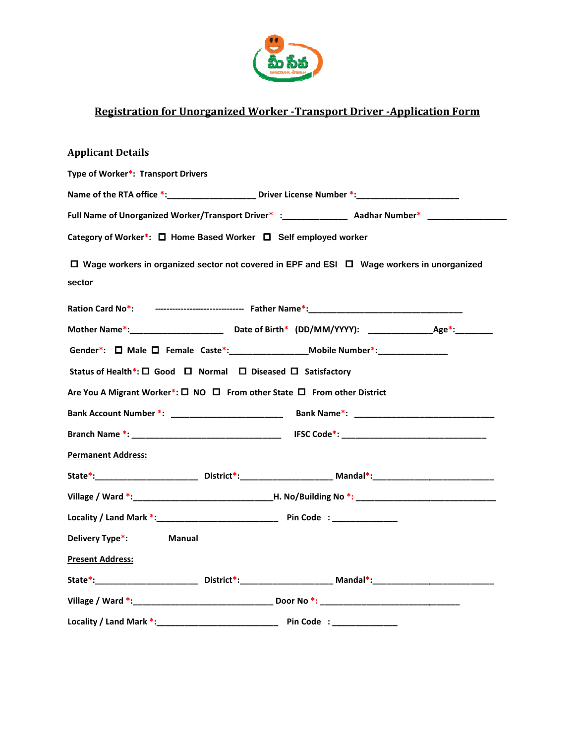

# Registration for Unorganized Worker Worker -Transport Driver -Application Form

| <b>Registration for Unorganized Worker - Transport Driver - Application Form</b>                                |  |
|-----------------------------------------------------------------------------------------------------------------|--|
| <b>Applicant Details</b>                                                                                        |  |
| Type of Worker*: Transport Drivers                                                                              |  |
| Name of the RTA office *: ________________________ Driver License Number *: ________________________            |  |
| Full Name of Unorganized Worker/Transport Driver* :_____________________________ Aadhar Number* ______________  |  |
| Category of Worker*: □ Home Based Worker □ Self employed worker                                                 |  |
| $\Box$ Wage workers in organized sector not covered in EPF and ESI $\Box$ Wage workers in unorganized<br>sector |  |
|                                                                                                                 |  |
|                                                                                                                 |  |
| Gender*: $\Box$ Male $\Box$ Female Caste*: _______________________Mobile Number*: ______________________        |  |
| Status of Health*: □ Good □ Normal □ Diseased □ Satisfactory                                                    |  |
| Are You A Migrant Worker*: □ NO □ From other State □ From other District                                        |  |
|                                                                                                                 |  |
|                                                                                                                 |  |
| <b>Permanent Address:</b>                                                                                       |  |
| State*:___________________________District*:____________________________Mandal*:______________________________  |  |
|                                                                                                                 |  |
|                                                                                                                 |  |
| Delivery Type*:<br><b>Manual</b>                                                                                |  |
| <b>Present Address:</b>                                                                                         |  |
| State*:____________________________District*:____________________________Mandal*:_____________________________  |  |
|                                                                                                                 |  |
|                                                                                                                 |  |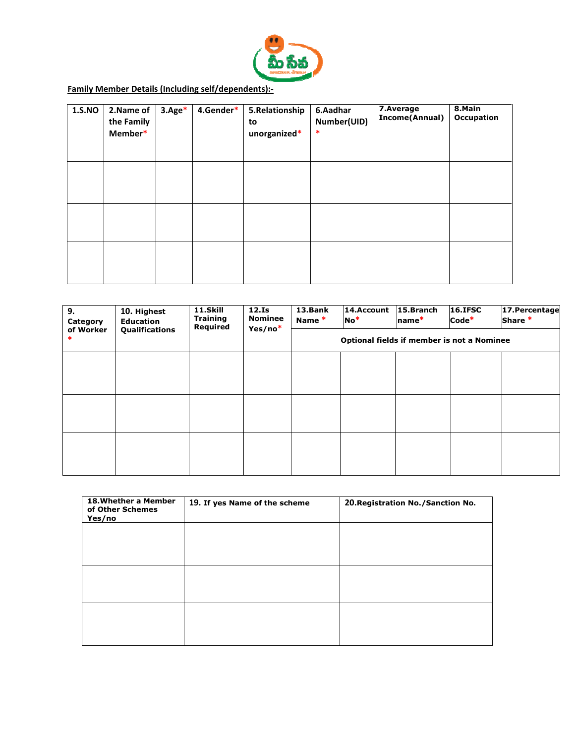

Family Member Details (Including self/dependents):-

| 1.S.NO | 2.Name of<br>the Family<br>Member* | $3. \text{Age}^*$ | 4.Gender* | 5.Relationship<br>to<br>unorganized* | 6.Aadhar<br>Number(UID)<br>$\ast$ | 7.Average<br>Income(Annual) | 8.Main<br><b>Occupation</b> |
|--------|------------------------------------|-------------------|-----------|--------------------------------------|-----------------------------------|-----------------------------|-----------------------------|
|        |                                    |                   |           |                                      |                                   |                             |                             |
|        |                                    |                   |           |                                      |                                   |                             |                             |
|        |                                    |                   |           |                                      |                                   |                             |                             |

| 9.<br>Category      | 10. Highest<br><b>Education</b> | 11.Skill<br><b>Training</b><br>Required | 12.Is<br><b>Nominee</b><br>Yes/no* | 13.Bank<br>Name <sup>*</sup>               | 14.Account<br>$No*$ | 15.Branch<br>name*                  | <b>16.IFSC</b><br>$Code*$ | 17. Percentage<br>Share * |
|---------------------|---------------------------------|-----------------------------------------|------------------------------------|--------------------------------------------|---------------------|-------------------------------------|---------------------------|---------------------------|
| of Worker<br>$\ast$ | Qualifications                  |                                         |                                    | Optional fields if member is not a Nominee |                     |                                     |                           |                           |
|                     |                                 |                                         |                                    |                                            |                     |                                     |                           |                           |
|                     |                                 |                                         |                                    |                                            |                     |                                     |                           |                           |
|                     |                                 |                                         |                                    |                                            |                     |                                     |                           |                           |
|                     |                                 |                                         |                                    |                                            |                     |                                     |                           |                           |
|                     |                                 |                                         |                                    |                                            |                     |                                     |                           |                           |
|                     |                                 |                                         |                                    |                                            |                     |                                     |                           |                           |
|                     |                                 |                                         |                                    |                                            |                     |                                     |                           |                           |
|                     | 18. Whether a Member            | 19. If yes Name of the scheme           |                                    |                                            |                     | 20. Registration No. / Sanction No. |                           |                           |

| 18. Whether a Member<br>of Other Schemes<br>Yes/no | 19. If yes Name of the scheme | 20. Registration No. / Sanction No. |
|----------------------------------------------------|-------------------------------|-------------------------------------|
|                                                    |                               |                                     |
|                                                    |                               |                                     |
|                                                    |                               |                                     |
|                                                    |                               |                                     |
|                                                    |                               |                                     |
|                                                    |                               |                                     |